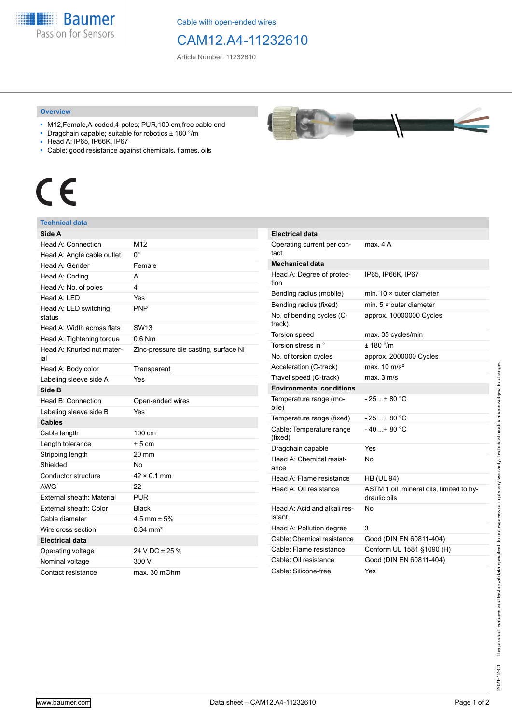**Baumer** Passion for Sensors

Cable with open-ended wires

## CAM12.A4-11232610

Article Number: 11232610

## **Overview**

- M12,Female,A-coded,4-poles; PUR,100 cm,free cable end
- Dragchain capable; suitable for robotics ± 180 °/m
- Head A: IP65, IP66K, IP67
- Cable: good resistance against chemicals, flames, oils



## **Technical data**

| Side A                            |                                       |                         |
|-----------------------------------|---------------------------------------|-------------------------|
| Head A: Connection                | M12                                   |                         |
| Head A: Angle cable outlet        | $0^{\circ}$                           |                         |
| Head A: Gender                    | Female                                |                         |
| Head A: Coding                    | A                                     |                         |
| Head A: No. of poles              | 4                                     |                         |
| Head A: LED                       | Yes                                   | E                       |
| Head A: LED switching<br>status   | <b>PNP</b>                            | E<br>ľ                  |
| Head A: Width across flats        | <b>SW13</b>                           | t                       |
| Head A: Tightening torque         | $0.6$ Nm                              |                         |
| Head A: Knurled nut mater-<br>ial | Zinc-pressure die casting, surface Ni | ľ                       |
| Head A: Body color                | Transparent                           | I                       |
| Labeling sleeve side A            | Yes                                   |                         |
| Side B                            |                                       |                         |
| Head B: Connection                | Open-ended wires                      |                         |
| Labeling sleeve side B            | Yes                                   |                         |
| Cables                            |                                       |                         |
| Cable length                      | 100 cm                                | (                       |
| Length tolerance                  | $+5cm$                                | I                       |
| Stripping length                  | 20 mm                                 | ł                       |
| Shielded                          | No                                    |                         |
| Conductor structure               | $42 \times 0.1$ mm                    | ŀ                       |
| <b>AWG</b>                        | 22                                    | ŀ                       |
| External sheath: Material         | <b>PUR</b>                            |                         |
| External sheath: Color            | <b>Black</b>                          | ŀ                       |
| Cable diameter                    | $4.5$ mm $\pm 5%$                     | i                       |
| Wire cross section                | $0.34 \text{ mm}^2$                   | ŀ                       |
| <b>Electrical data</b>            |                                       | (                       |
| Operating voltage                 | 24 V DC ± 25 %                        | $\overline{\mathbf{C}}$ |
| Nominal voltage                   | 300 V                                 | (                       |
| Contact resistance                | max. 30 mOhm                          |                         |



| Electrical data                        |                                                          |
|----------------------------------------|----------------------------------------------------------|
| Operating current per con-<br>tact     | max. 4 A                                                 |
| Mechanical data                        |                                                          |
| Head A: Degree of protec-<br>tion      | IP65, IP66K, IP67                                        |
| Bending radius (mobile)                | min. $10 \times$ outer diameter                          |
| Bending radius (fixed)                 | min. $5 \times$ outer diameter                           |
| No. of bending cycles (C-<br>track)    | approx. 10000000 Cycles                                  |
| Torsion speed                          | max. 35 cycles/min                                       |
| Torsion stress in °                    | ± 180 °/m                                                |
| No. of torsion cycles                  | approx. 2000000 Cycles                                   |
| Acceleration (C-track)                 | max. $10 \text{ m/s}^2$                                  |
| Travel speed (C-track)                 | max. 3 m/s                                               |
| <b>Environmental conditions</b>        |                                                          |
| Temperature range (mo-<br>bile)        | - 25 + 80 °C                                             |
| Temperature range (fixed)              | $-25+80 °C$                                              |
| Cable: Temperature range<br>(fixed)    | $-40+80 °C$                                              |
| Dragchain capable                      | Yes                                                      |
| Head A: Chemical resist-<br>ance       | No                                                       |
| Head A: Flame resistance               | <b>HB (UL 94)</b>                                        |
| Head A: Oil resistance                 | ASTM 1 oil, mineral oils, limited to hy-<br>draulic oils |
| Head A: Acid and alkali res-<br>istant | N٥                                                       |
| Head A: Pollution degree               | 3                                                        |
| Cable: Chemical resistance             | Good (DIN EN 60811-404)                                  |
| Cable: Flame resistance                | Conform UL 1581 §1090 (H)                                |
| Cable: Oil resistance                  | Good (DIN EN 60811-404)                                  |
| Cable: Silicone-free                   | Yes                                                      |